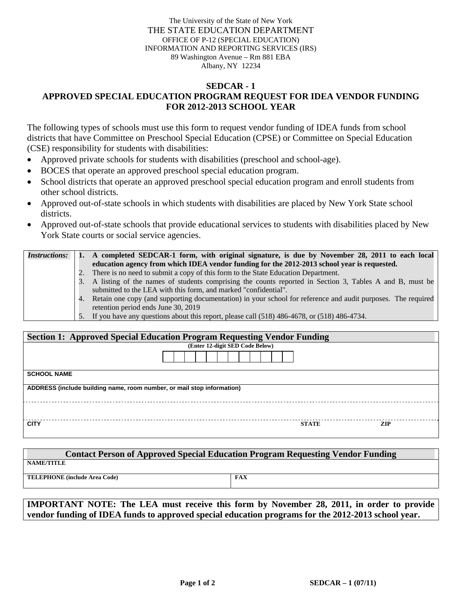The University of the State of New York THE STATE EDUCATION DEPARTMENT OFFICE OF P-12 (SPECIAL EDUCATION) INFORMATION AND REPORTING SERVICES (IRS) 89 Washington Avenue – Rm 881 EBA Albany, NY 12234

## **SEDCAR - 1 APPROVED SPECIAL EDUCATION PROGRAM REQUEST FOR IDEA VENDOR FUNDING FOR 2012-2013 SCHOOL YEAR**

The following types of schools must use this form to request vendor funding of IDEA funds from school districts that have Committee on Preschool Special Education (CPSE) or Committee on Special Education (CSE) responsibility for students with disabilities:

- Approved private schools for students with disabilities (preschool and school-age).
- BOCES that operate an approved preschool special education program.
- School districts that operate an approved preschool special education program and enroll students from other school districts.
- Approved out-of-state schools in which students with disabilities are placed by New York State school districts.
- Approved out-of-state schools that provide educational services to students with disabilities placed by New York State courts or social service agencies.

| <i>Instructions:</i> |    | A completed SEDCAR-1 form, with original signature, is due by November 28, 2011 to each local                   |  |  |
|----------------------|----|-----------------------------------------------------------------------------------------------------------------|--|--|
|                      |    | education agency from which IDEA vendor funding for the 2012-2013 school year is requested.                     |  |  |
|                      |    | There is no need to submit a copy of this form to the State Education Department.                               |  |  |
|                      | 3. | A listing of the names of students comprising the counts reported in Section 3, Tables A and B, must be         |  |  |
|                      |    | submitted to the LEA with this form, and marked "confidential".                                                 |  |  |
|                      |    | 4. Retain one copy (and supporting documentation) in your school for reference and audit purposes. The required |  |  |
|                      |    | retention period ends June 30, 2019                                                                             |  |  |
|                      |    | 5. If you have any questions about this report, please call (518) 486-4678, or (518) 486-4734.                  |  |  |

| <b>Section 1: Approved Special Education Program Requesting Vendor Funding</b> |                                 |              |            |  |  |  |  |  |
|--------------------------------------------------------------------------------|---------------------------------|--------------|------------|--|--|--|--|--|
|                                                                                | (Enter 12-digit SED Code Below) |              |            |  |  |  |  |  |
|                                                                                |                                 |              |            |  |  |  |  |  |
| <b>SCHOOL NAME</b>                                                             |                                 |              |            |  |  |  |  |  |
| ADDRESS (include building name, room number, or mail stop information)         |                                 |              |            |  |  |  |  |  |
|                                                                                |                                 |              |            |  |  |  |  |  |
| <b>CITY</b>                                                                    |                                 | <b>STATE</b> | <b>ZIP</b> |  |  |  |  |  |

| <b>Contact Person of Approved Special Education Program Requesting Vendor Funding</b> |            |  |  |  |  |  |  |  |
|---------------------------------------------------------------------------------------|------------|--|--|--|--|--|--|--|
| <b>NAME/TITLE</b>                                                                     |            |  |  |  |  |  |  |  |
| <b>TELEPHONE</b> (include Area Code)                                                  | <b>FAX</b> |  |  |  |  |  |  |  |

**IMPORTANT NOTE: The LEA must receive this form by November 28, 2011, in order to provide vendor funding of IDEA funds to approved special education programs for the 2012-2013 school year.**